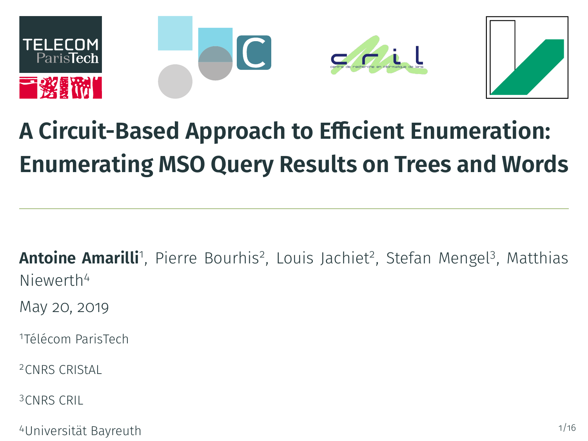

# **A Circuit-Based Approach to Efficient Enumeration: Enumerating MSO Query Results on Trees and Words**

**Antoine Amarilli**'', Pierre Bourhis<sup>2</sup>, Louis Jachiet<sup>2</sup>, Stefan Mengel<sup>3</sup>, Matthias Niewerth<sup>4</sup>

May 20, 2019

<sup>1</sup>Télécom ParisTech

<sup>2</sup>CNRS CRIStAL

<sup>3</sup>CNRS CRIL

<sup>4</sup>Universität Bayreuth 1/16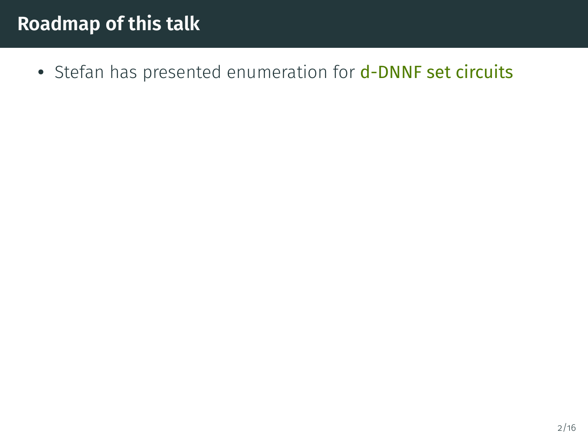• Stefan has presented enumeration for d-DNNF set circuits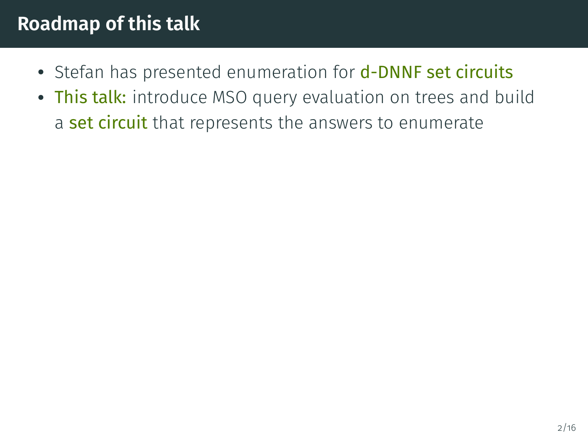- Stefan has presented enumeration for **d-DNNF set circuits**
- This talk: introduce MSO query evaluation on trees and build a set circuit that represents the answers to enumerate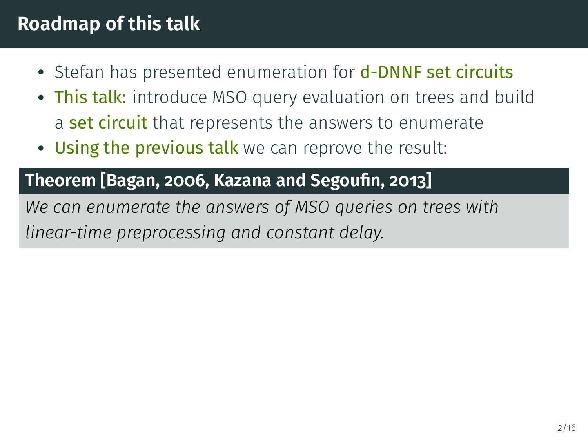- Stefan has presented enumeration for **d-DNNF set circuits**
- This talk: introduce MSO query evaluation on trees and build a set circuit that represents the answers to enumerate
- Using the previous talk we can reprove the result:

#### **Theorem [\[Bagan, 2006,](#page-86-0) [Kazana and Segoun, 2013\]](#page-87-0)**

*We can enumerate the answers of MSO queries on trees with linear-time preprocessing and constant delay.*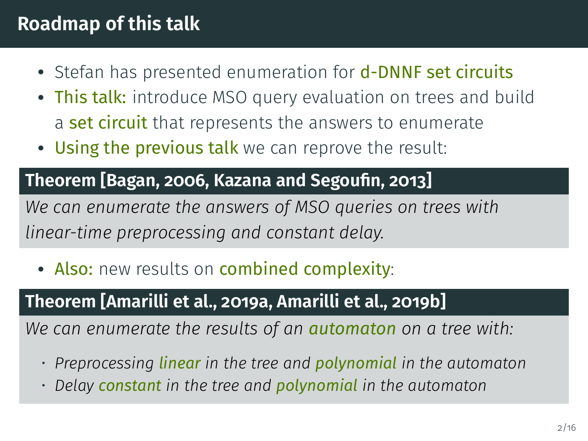- Stefan has presented enumeration for **d-DNNF set circuits**
- This talk: introduce MSO query evaluation on trees and build a set circuit that represents the answers to enumerate
- Using the previous talk we can reprove the result:

#### **Theorem [\[Bagan, 2006,](#page-86-0) [Kazana and Segoun, 2013\]](#page-87-0)**

*We can enumerate the answers of MSO queries on trees with linear-time preprocessing and constant delay.*

• Also: new results on combined complexity:

#### **Theorem [\[Amarilli et al., 2019a,](#page-86-1) [Amarilli et al., 2019b\]](#page-86-2)**

*We can enumerate the results of an automaton on a tree with:*

- *Preprocessing linear in the tree and polynomial in the automaton*
- *Delay constant in the tree and polynomial in the automaton*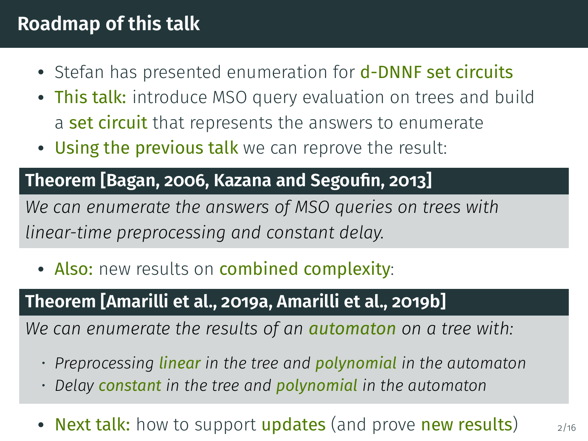- Stefan has presented enumeration for **d-DNNF set circuits**
- This talk: introduce MSO query evaluation on trees and build a set circuit that represents the answers to enumerate
- Using the previous talk we can reprove the result:

#### **Theorem [\[Bagan, 2006,](#page-86-0) [Kazana and Segoun, 2013\]](#page-87-0)**

*We can enumerate the answers of MSO queries on trees with linear-time preprocessing and constant delay.*

• Also: new results on combined complexity:

#### **Theorem [\[Amarilli et al., 2019a,](#page-86-1) [Amarilli et al., 2019b\]](#page-86-2)**

*We can enumerate the results of an automaton on a tree with:*

- *Preprocessing linear in the tree and polynomial in the automaton*
- *Delay constant in the tree and polynomial in the automaton*
- Next talk: how to support updates (and prove new results)  $_{2/16}$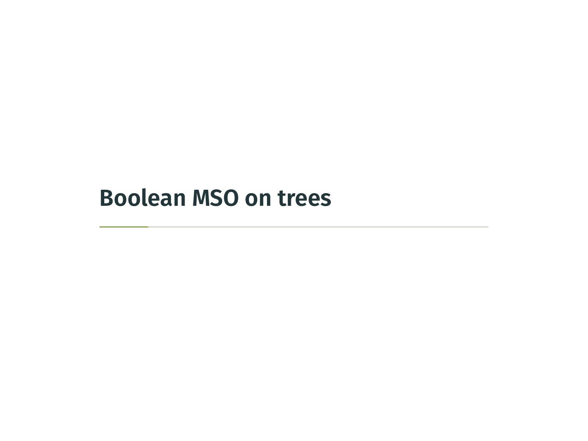## <span id="page-6-0"></span>**[Boolean MSO on trees](#page-6-0)**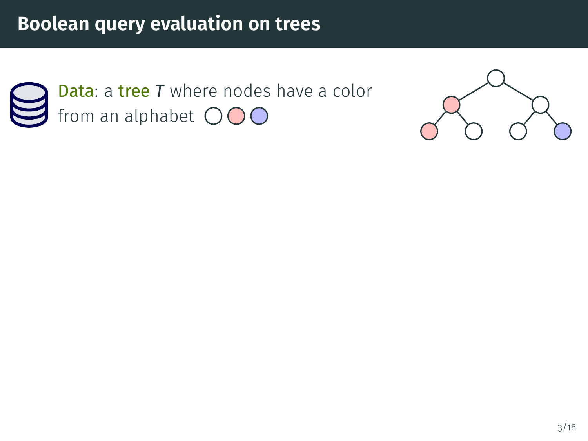

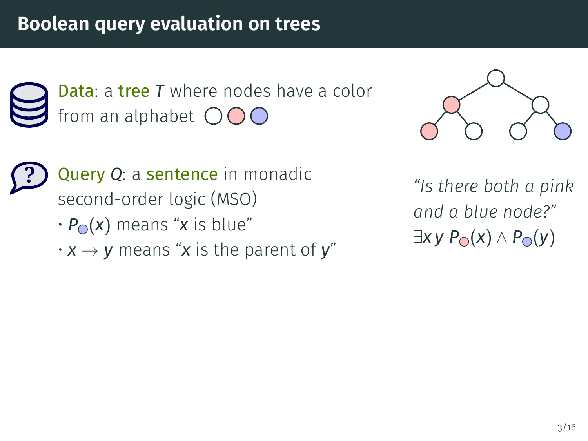Data: a tree *T* where nodes have a color from an alphabet  $\bigcirc$   $\bigcirc$   $\bigcirc$ 



**?** Query *Q*: a sentence in monadic second-order logic (MSO)

- $\cdot$  *P*<sup> $\circ$ </sup> (*x*) means "*x* is blue"
- $\cdot x \rightarrow y$  means "x is the parent of y"

*"Is there both a pink and a blue node?"*  $\exists$ *x y P***○** $(x)$  ∧ *P***○** $(y)$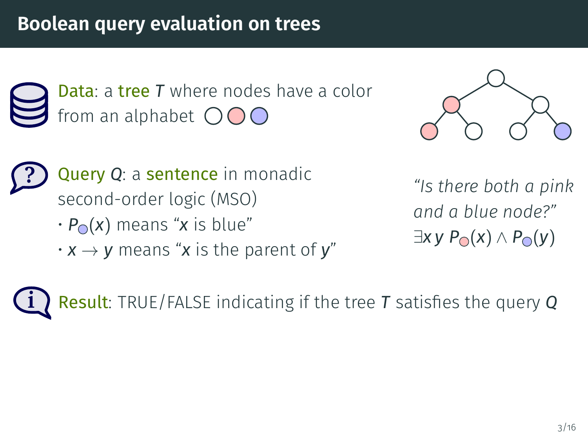Data: a tree *T* where nodes have a color from an alphabet  $\bigcirc$   $\bigcirc$   $\bigcirc$ 



**?** Query *Q*: a sentence in monadic second-order logic (MSO)

- $\cdot$  *P*<sup> $\circ$ </sup> (*x*) means "*x* is blue"
- $\cdot x \rightarrow y$  means "x is the parent of y"

*"Is there both a pink and a blue node?"*  $\exists$ *x y P***○** $(x)$  ∧ *P***○** $(y)$ 

**i** Result: TRUE/FALSE indicating if the tree T satisfies the query Q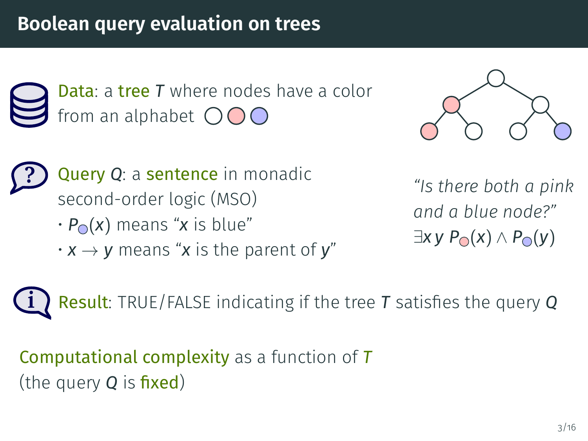Data: a tree *T* where nodes have a color from an alphabet  $\bigcirc$   $\bigcirc$   $\bigcirc$ 



**?** Query *Q*: a sentence in monadic second-order logic (MSO)

- $\cdot$  *P*<sup> $\circ$ </sup> (*x*) means "*x* is blue"
- $\cdot x \rightarrow y$  means "x is the parent of y"

*"Is there both a pink and a blue node?"*  $\exists$ *x y P*<sub>○</sub> $(x)$  ∧ *P*<sub>○</sub> $(y)$ 

**i** Result: TRUE/FALSE indicating if the tree T satisfies the query Q

Computational complexity as a function of *T* (the query **Q** is **fixed**)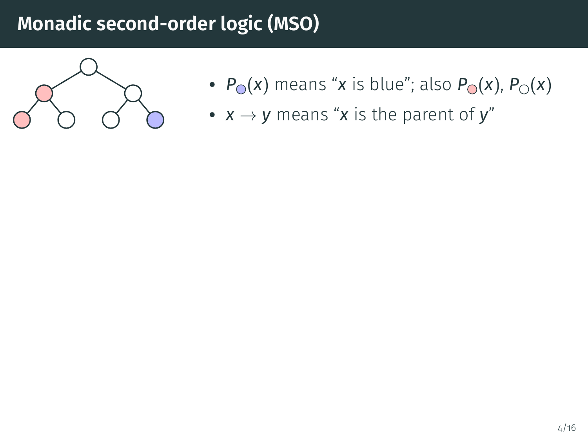

- $P_{\odot}(x)$  means "*x* is blue"; also  $P_{\odot}(x)$ ,  $P_{\odot}(x)$
- $x \rightarrow y$  means "x is the parent of y"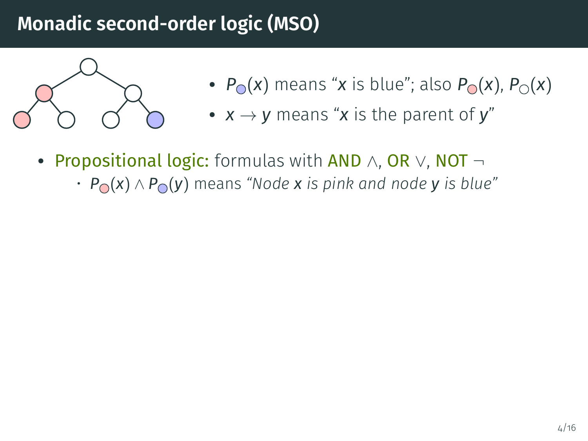

- $P_{\odot}(x)$  means "*x* is blue"; also  $P_{\odot}(x)$ ,  $P_{\odot}(x)$
- $x \rightarrow y$  means "x is the parent of y"
- Propositional logic: formulas with AND ∧, OR ∨, NOT ¬<br>Propositional logic: formulas with also shared products blue
	- *P* (*x*) ∧ *P* (*y*) means *"Node x is pink and node y is blue"*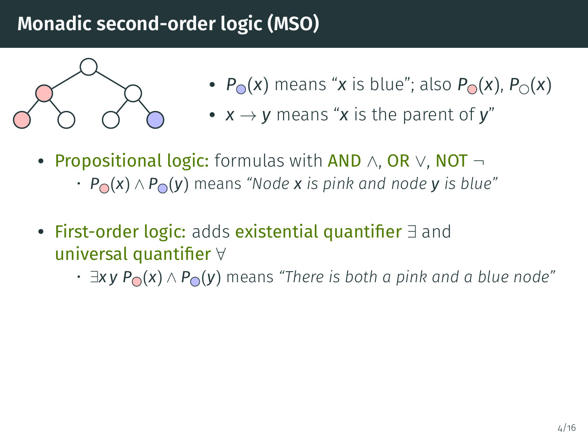

- $P_{\odot}(x)$  means "*x* is blue"; also  $P_{\odot}(x)$ ,  $P_{\odot}(x)$
- $x \rightarrow y$  means "x is the parent of y"
- Propositional logic: formulas with AND ∧, OR ∨, NOT ¬<br>Propositional logic: formulas with also shared products blue
	- *P* (*x*) ∧ *P* (*y*) means *"Node x is pink and node y is blue"*
- First-order logic: adds existential quantifier ∃ and<br>……increal quantifica) / universal quantifier ∀
	- ∃*x y P* (*x*) ∧ *P* (*y*) means *"There is both a pink and a blue node"*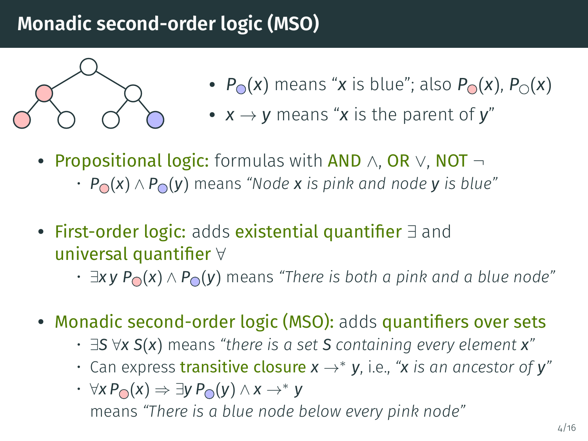

- $P_{\odot}(x)$  means "*x* is blue"; also  $P_{\odot}(x)$ ,  $P_{\odot}(x)$
- $x \rightarrow y$  means "x is the parent of y"
- Propositional logic: formulas with AND ∧, OR ∨, NOT ¬<br>Propositional logic: formulas with also shared products blue
	- *P* (*x*) ∧ *P* (*y*) means *"Node x is pink and node y is blue"*
- First-order logic: adds existential quantifier ∃ and<br>……increal quantifica) / universal quantifier ∀
	- ∃*x y P* (*x*) ∧ *P* (*y*) means *"There is both a pink and a blue node"*
- Monadic second-order logic (MSO): adds quantifiers over sets
	- ∃*S* ∀*x S*(*x*) means *"there is a set S containing every element x"*
	- Can express transitive closure *x* →<sup>∗</sup> *y*, i.e., *"x is an ancestor of y"*
	- ∀*x P* (*x*) ⇒ ∃*y P* (*y*) ∧ *x* →<sup>∗</sup> *y* means *"There is a blue node below every pink node"*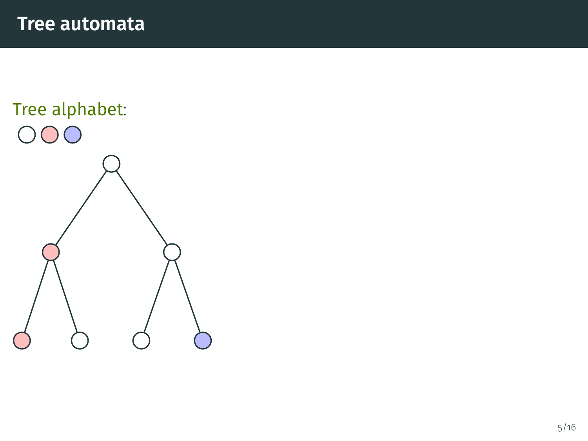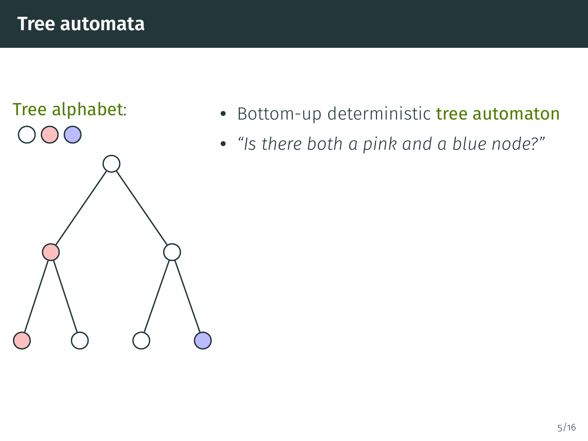

- Bottom-up deterministic tree automaton
- *"Is there both a pink and a blue node?"*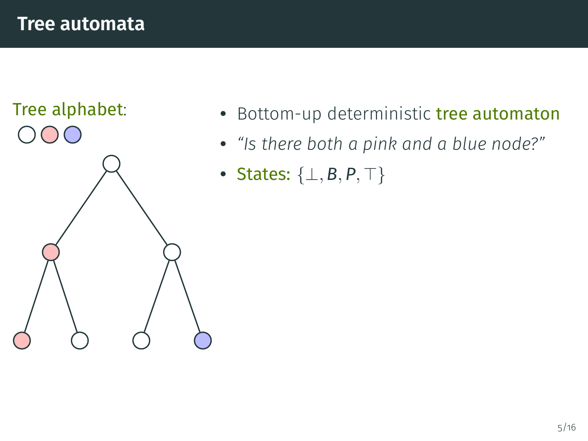

- Bottom-up deterministic tree automaton
- *"Is there both a pink and a blue node?"*
- States: {⊥, *B*, *P*, ⊤}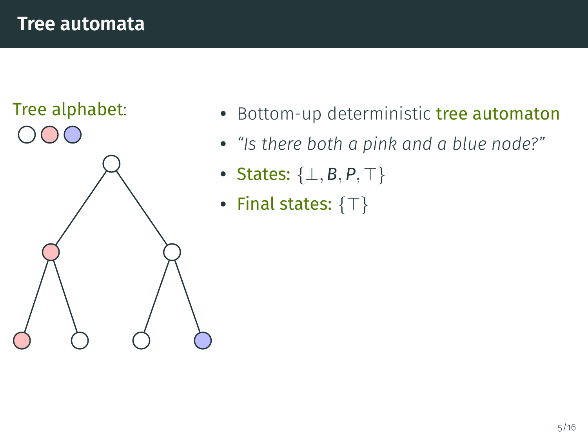

- Bottom-up deterministic tree automaton
- *"Is there both a pink and a blue node?"*
- States: {⊥, *B*, *P*, ⊤}
- Final states:  $\{\top\}$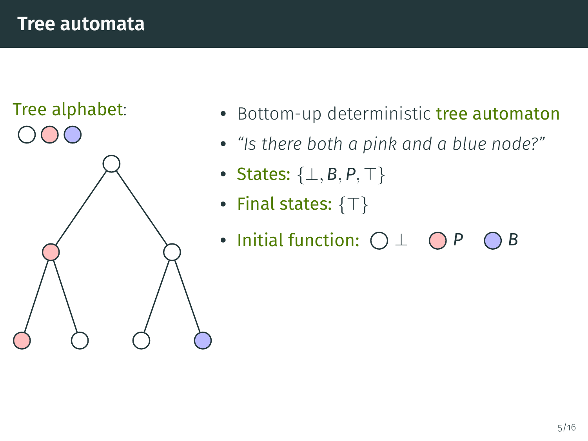

- Bottom-up deterministic tree automaton
- *"Is there both a pink and a blue node?"*
- States: {⊥, *B*, *P*, ⊤}
- Final states:  $\{\top\}$
- Initial function:  $\bigcirc \bot$   $\bigcirc P$   $\bigcirc B$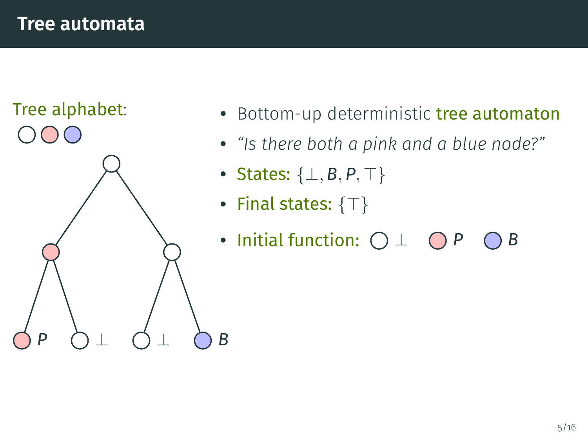

- Bottom-up deterministic tree automaton
- *"Is there both a pink and a blue node?"*
- States: {⊥, *B*, *P*, ⊤}
- Final states:  $\{\top\}$
- Initial function:  $\bigcirc \bot$   $\bigcirc P$   $\bigcirc B$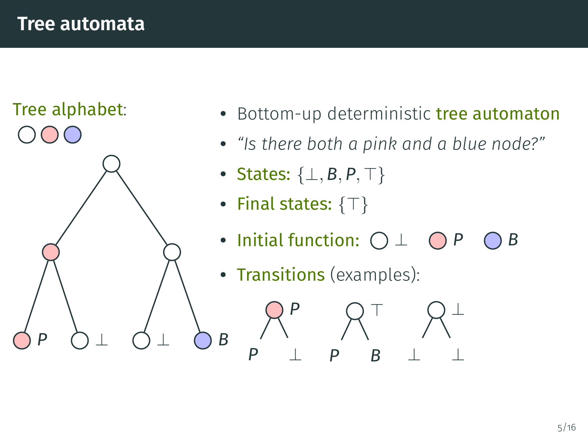

- Bottom-up deterministic tree automaton
- *"Is there both a pink and a blue node?"*
- States: {⊥, *B*, *P*, ⊤}
- Final states:  $\{\top\}$

*P*

*P* ⊥

• Initial function:  $\bigcirc \bot$   $\bigcirc P$   $\bigcirc B$ 

 $\top$ 

⊥

⊥ ⊥

*P B*

• Transitions (examples):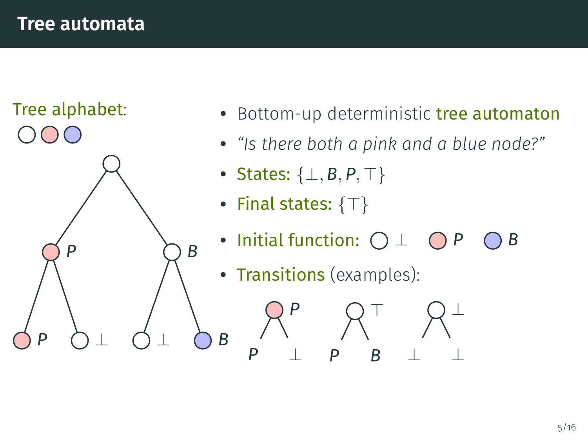

- Bottom-up deterministic tree automaton
- *"Is there both a pink and a blue node?"*
- States: {⊥, *B*, *P*, ⊤}
- Final states:  $\{\top\}$

*P*

*P* ⊥

• Initial function:  $\bigcirc \bot$   $\bigcirc P$   $\bigcirc B$ 

 $\top$ 

⊥

⊥ ⊥

*P B*

• Transitions (examples):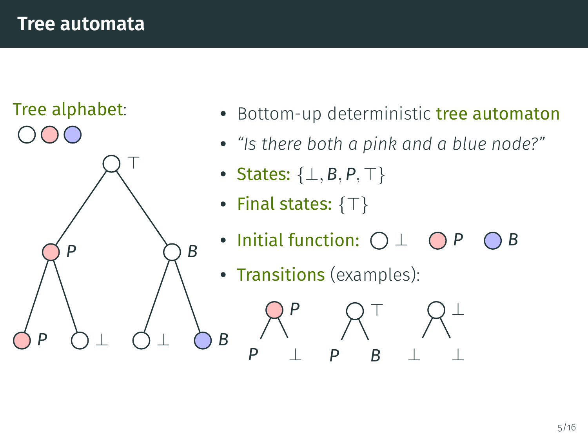

- Bottom-up deterministic tree automaton
- *"Is there both a pink and a blue node?"*
- States: {⊥, *B*, *P*, ⊤}
- Final states:  $\{\top\}$

*P*

*P* ⊥

• Initial function:  $\bigcirc \bot$   $\bigcirc P$   $\bigcirc B$ 

 $\top$ 

⊥

⊥ ⊥

*P B*

• Transitions (examples):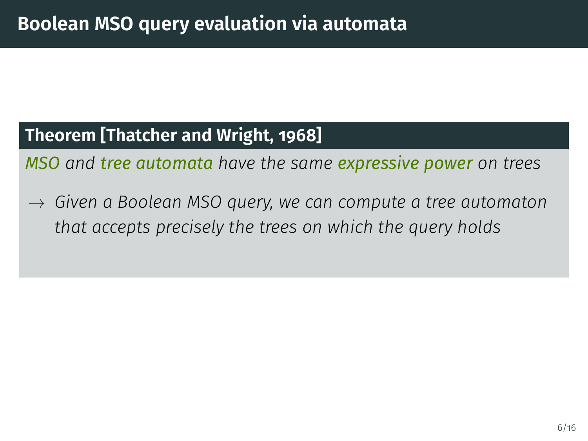#### **Theorem [\[Thatcher and Wright, 1968\]](#page-87-1)**

*MSO and tree automata have the same expressive power on trees*

 $\rightarrow$  Given a Boolean MSO query, we can compute a tree automaton *that accepts precisely the trees on which the query holds*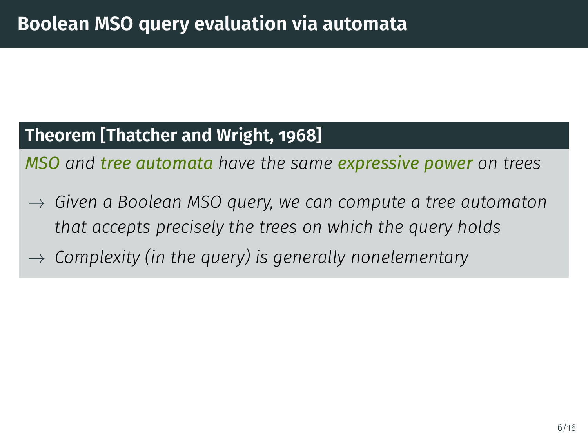#### **Theorem [\[Thatcher and Wright, 1968\]](#page-87-1)**

*MSO and tree automata have the same expressive power on trees*

- $\rightarrow$  Given a Boolean MSO query, we can compute a tree automaton *that accepts precisely the trees on which the query holds*
- $\rightarrow$  Complexity (in the query) is generally nonelementary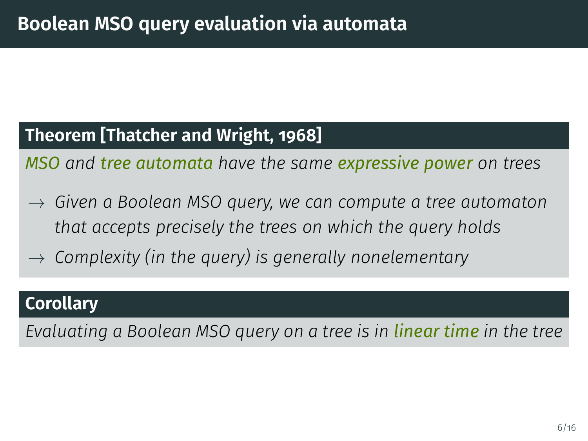#### **Theorem [\[Thatcher and Wright, 1968\]](#page-87-1)**

*MSO and tree automata have the same expressive power on trees*

- $\rightarrow$  Given a Boolean MSO query, we can compute a tree automaton *that accepts precisely the trees on which the query holds*
- $\rightarrow$  Complexity (in the query) is generally nonelementary

#### **Corollary**

*Evaluating a Boolean MSO query on a tree is in linear time in the tree*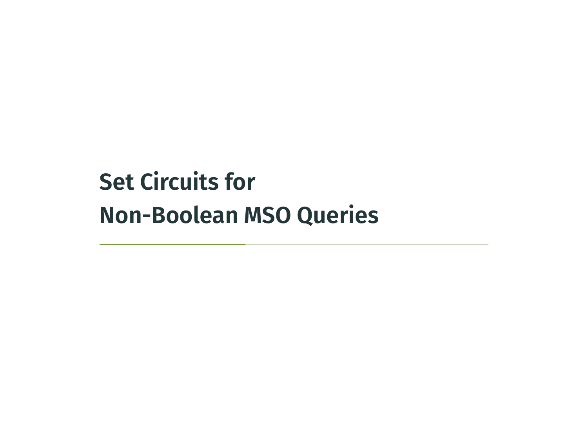# <span id="page-27-0"></span>**[Set Circuits for](#page-27-0) [Non-Boolean MSO Queries](#page-27-0)**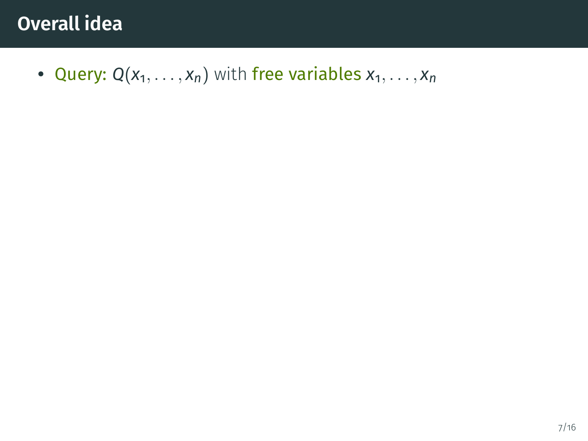• Query:  $Q(x_1, \ldots, x_n)$  with free variables  $x_1, \ldots, x_n$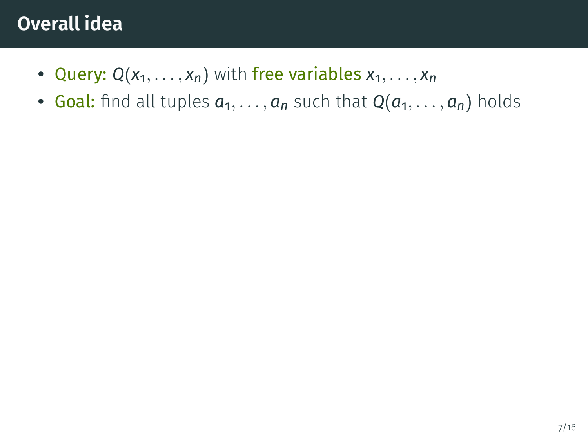- Query:  $Q(x_1, \ldots, x_n)$  with free variables  $x_1, \ldots, x_n$
- Goal: find all tuples  $a_1, \ldots, a_n$  such that  $Q(a_1, \ldots, a_n)$  holds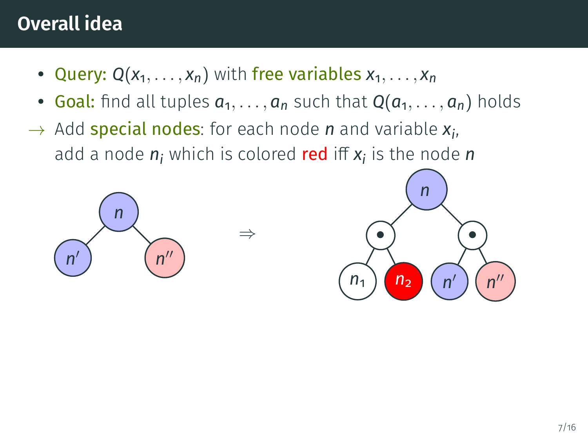- Query:  $Q(x_1, \ldots, x_n)$  with free variables  $x_1, \ldots, x_n$
- Goal: find all tuples  $a_1, \ldots, a_n$  such that  $Q(a_1, \ldots, a_n)$  holds
- → Add special nodes: for each node *n* and variable *x<sup>i</sup>* , add a node  $n_i$  which is colored **red** iff  $x_i$  is the node  $n$



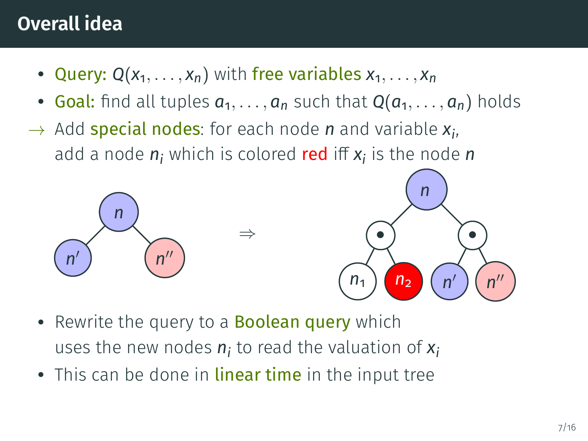- Query:  $Q(x_1, \ldots, x_n)$  with free variables  $x_1, \ldots, x_n$
- Goal: find all tuples  $a_1, \ldots, a_n$  such that  $Q(a_1, \ldots, a_n)$  holds
- → Add special nodes: for each node *n* and variable *x<sup>i</sup>* , add a node  $n_i$  which is colored **red** iff  $x_i$  is the node  $n$



- Rewrite the query to a **Boolean query** which uses the new nodes *n<sup>i</sup>* to read the valuation of *x<sup>i</sup>*
- This can be done in linear time in the input tree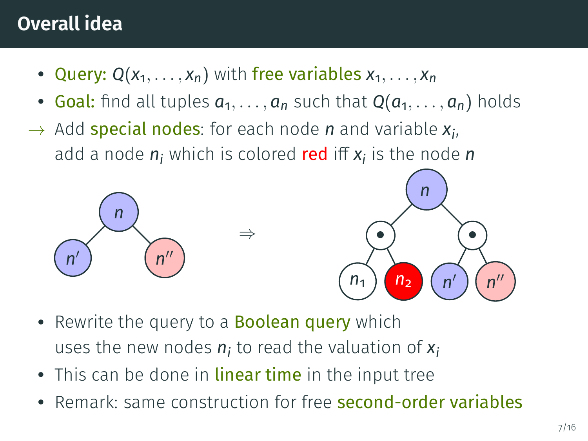- Query:  $Q(x_1, \ldots, x_n)$  with free variables  $x_1, \ldots, x_n$
- Goal: find all tuples  $a_1, \ldots, a_n$  such that  $Q(a_1, \ldots, a_n)$  holds
- → Add special nodes: for each node *n* and variable *x<sup>i</sup>* , add a node  $n_i$  which is colored **red** iff  $x_i$  is the node  $n$



- Rewrite the query to a **Boolean query** which uses the new nodes *n<sup>i</sup>* to read the valuation of *x<sup>i</sup>*
- This can be done in linear time in the input tree
- Remark: same construction for free second-order variables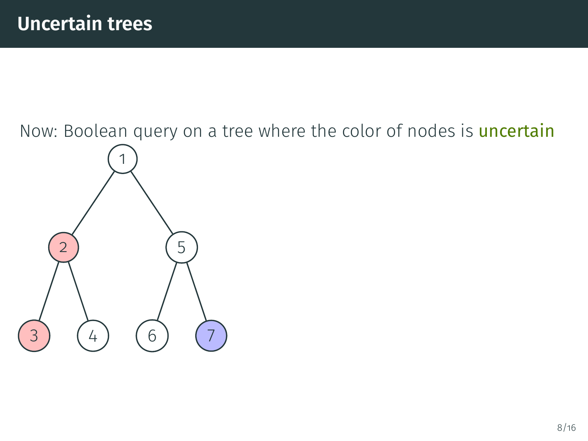Now: Boolean query on a tree where the color of nodes is *uncertain* 1 5 6 2 3 4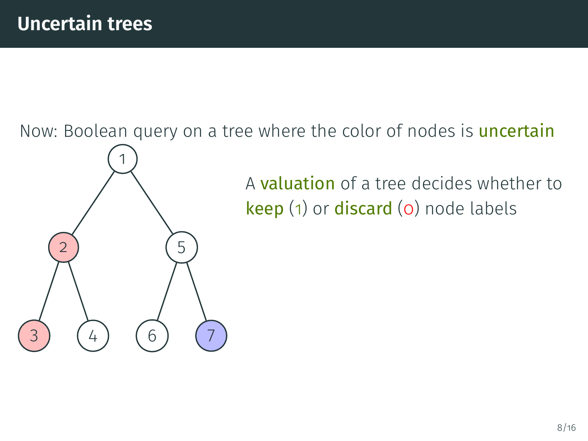2

3 ) (4

1

5

6

Now: Boolean query on a tree where the color of nodes is *uncertain* 

A valuation of a tree decides whether to keep (1) or discard (0) node labels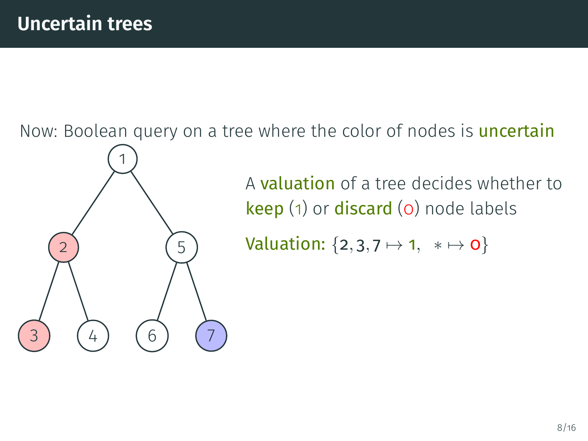2

3 ) (4

1

5

6

Now: Boolean query on a tree where the color of nodes is **uncertain** 

A valuation of a tree decides whether to keep (1) or discard (0) node labels

Valuation:  $\{2, 3, 7 \mapsto 1, * \mapsto 0\}$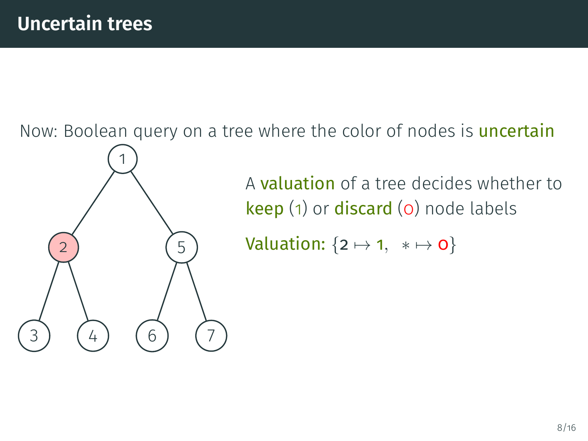3) (4)

1

5

6

Now: Boolean query on a tree where the color of nodes is **uncertain** 

A valuation of a tree decides whether to keep (1) or discard (0) node labels

Valuation:  $\{2 \mapsto 1, * \mapsto 0\}$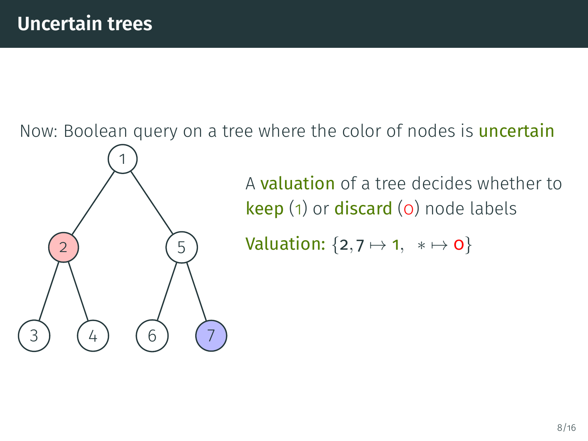3) (4)

1

5

6

Now: Boolean query on a tree where the color of nodes is **uncertain** 

A valuation of a tree decides whether to keep (1) or discard (0) node labels

Valuation:  $\{2, 7 \mapsto 1, * \mapsto 0\}$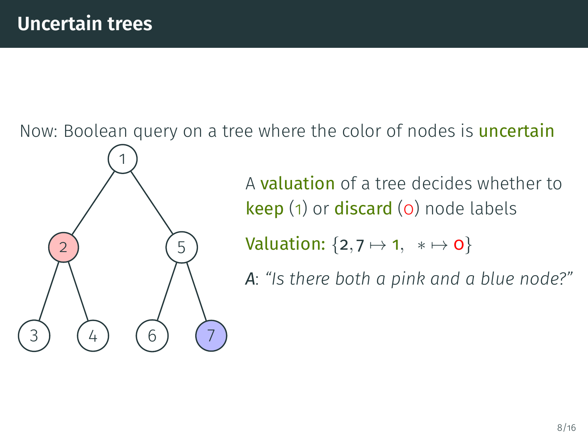3) (4

1

5

6

Now: Boolean query on a tree where the color of nodes is **uncertain** 

A valuation of a tree decides whether to keep (1) or discard (0) node labels

Valuation:  $\{2, 7 \mapsto 1, * \mapsto 0\}$ 

*A*: *"Is there both a pink and a blue node?"*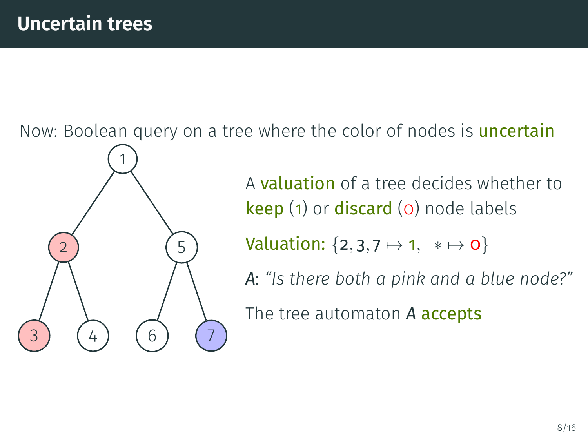3 ) (4

1

5

6) (7

Now: Boolean query on a tree where the color of nodes is **uncertain** 

A valuation of a tree decides whether to keep (1) or discard (0) node labels

Valuation:  $\{2, 3, 7 \mapsto 1, * \mapsto 0\}$ 

*A*: *"Is there both a pink and a blue node?"*

The tree automaton *A* accepts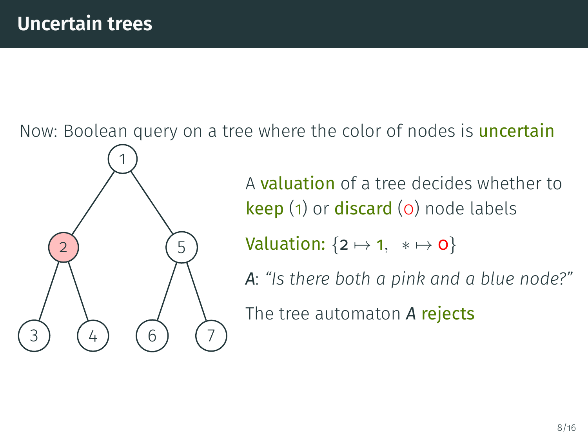3) (4

1

5

6) (7

Now: Boolean query on a tree where the color of nodes is **uncertain** 

A valuation of a tree decides whether to keep (1) or discard (0) node labels

Valuation:  $\{2 \mapsto 1, * \mapsto 0\}$ 

*A*: *"Is there both a pink and a blue node?"*

The tree automaton *A* rejects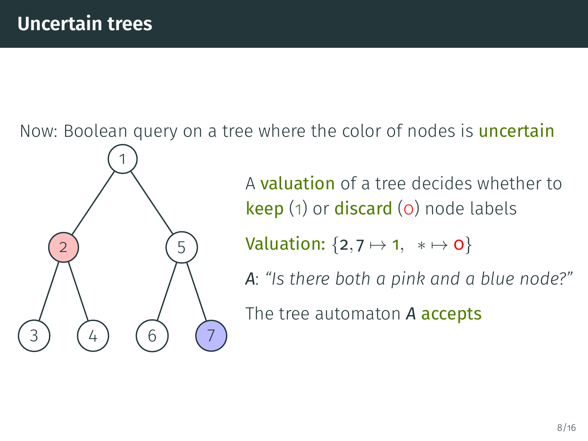3) (4

1

5

6) (7

Now: Boolean query on a tree where the color of nodes is **uncertain** 

A valuation of a tree decides whether to keep (1) or discard (0) node labels

Valuation:  $\{2, 7 \mapsto 1, * \mapsto 0\}$ 

*A*: *"Is there both a pink and a blue node?"*

The tree automaton *A* accepts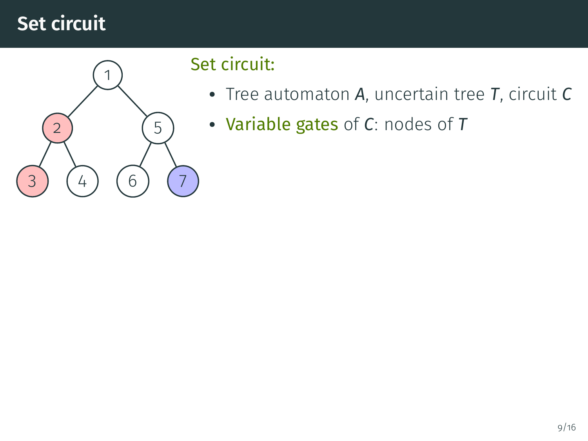

#### Set circuit:

- Tree automaton *A*, uncertain tree *T*, circuit *C*
- Variable gates of *C*: nodes of *T*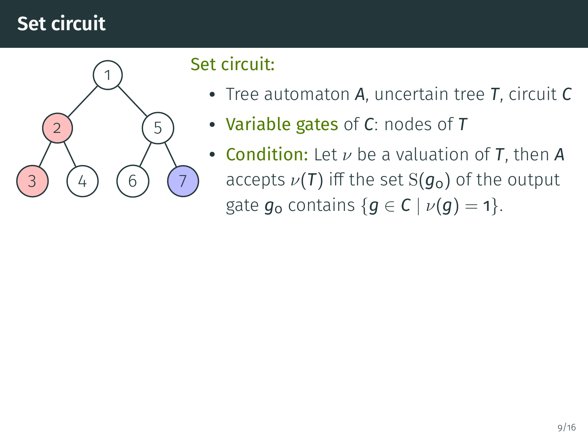

#### Set circuit:

- Tree automaton *A*, uncertain tree *T*, circuit *C*
- Variable gates of *C*: nodes of *T*
- **Condition:** Let  $\nu$  be a valuation of **T**, then **A** accepts  $\nu(T)$  iff the set S( $g_0$ ) of the output gate  $g_0$  contains  ${g \in C \mid \nu(g) = 1}.$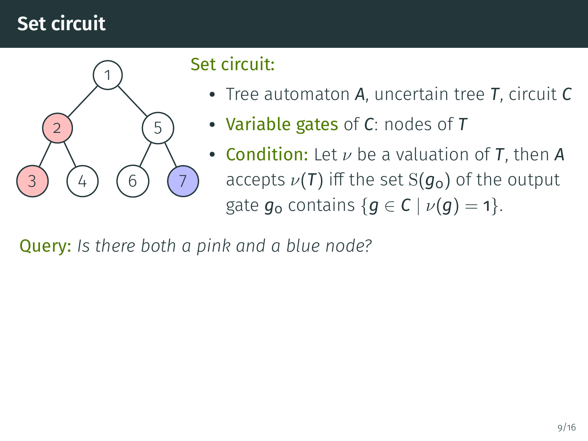

#### Set circuit:

- Tree automaton *A*, uncertain tree *T*, circuit *C*
- Variable gates of *C*: nodes of *T*
- **Condition:** Let  $\nu$  be a valuation of **T**, then **A** accepts  $\nu(T)$  iff the set S( $g_0$ ) of the output gate  $g_0$  contains  ${g \in C \mid \nu(g) = 1}.$

Query: *Is there both a pink and a blue node?*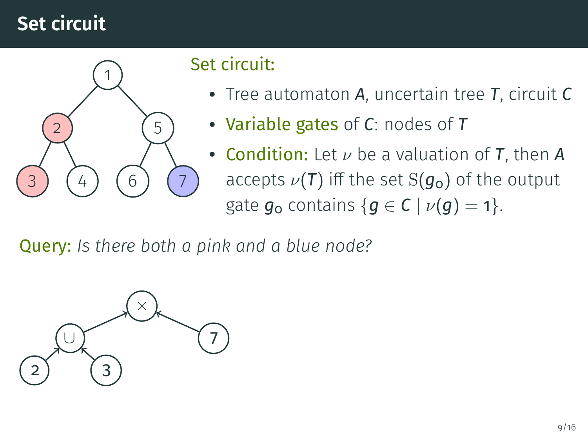

#### Set circuit:

- Tree automaton *A*, uncertain tree *T*, circuit *C*
- Variable gates of *C*: nodes of *T*
- **Condition:** Let  $\nu$  be a valuation of **T**, then **A** accepts  $\nu(T)$  iff the set S( $g_0$ ) of the output gate  $g_0$  contains  ${g \in C \mid \nu(g) = 1}.$

Query: *Is there both a pink and a blue node?*

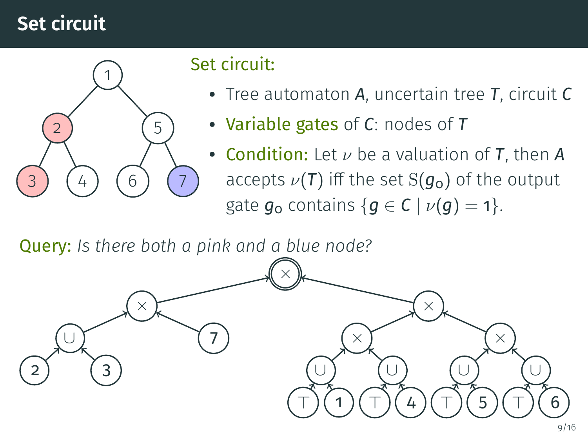

#### Set circuit:

- Tree automaton *A*, uncertain tree *T*, circuit *C*
- Variable gates of *C*: nodes of *T*
- **Condition:** Let  $\nu$  be a valuation of **T**, then **A** accepts  $\nu(T)$  iff the set S( $g_0$ ) of the output gate  $g_0$  contains  ${g \in C \mid \nu(g) = 1}.$

Query: *Is there both a pink and a blue node?*

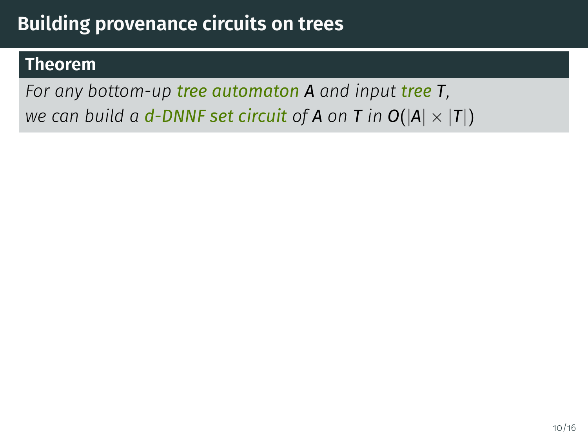#### **Theorem**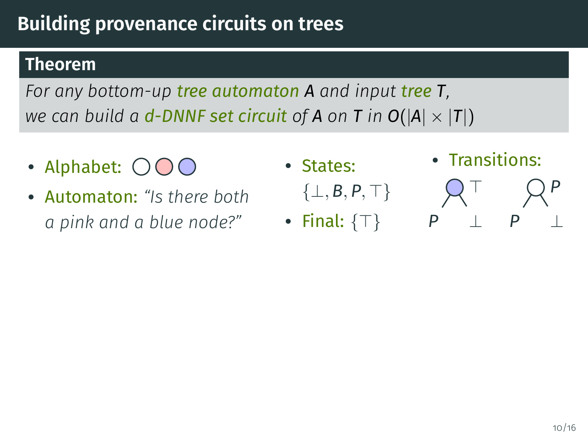#### **Theorem**

- Alphabet:
- Automaton: *"Is there both a pink and a blue node?"*
- States:
	- $\{\perp, B, P, \perp\}$
- Final:  $\{\top\}$
- Transitions:
- $\top$ *P* ⊥ *P P* ⊥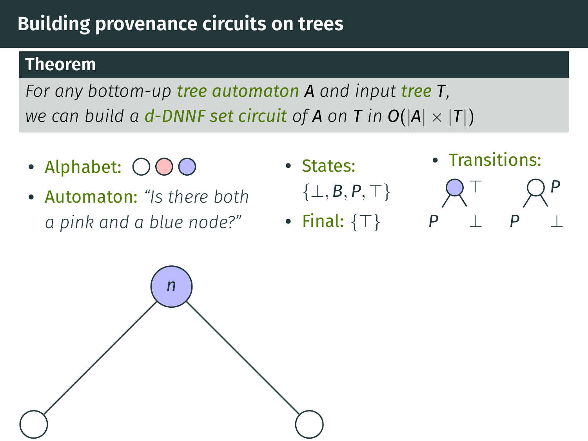#### **Theorem**

- Alphabet:
- Automaton: *"Is there both a pink and a blue node?"*
- States:
	- $\{\perp, \mathsf{B}, \mathsf{P}, \top\}$
- Final:  $\{\top\}$
- Transitions:
- $\top$  $P$  ⊥ *P P* ⊥

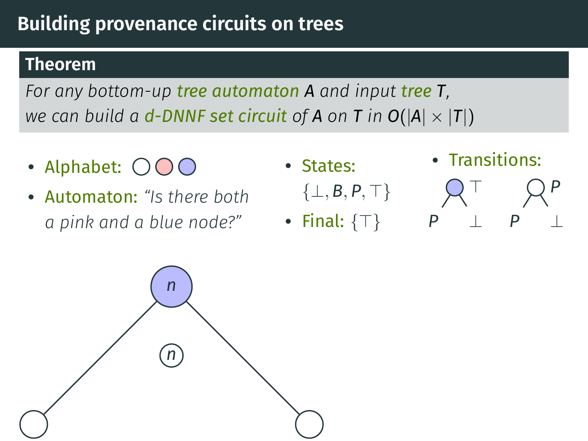#### **Theorem**

- Alphabet:
- Automaton: *"Is there both a pink and a blue node?"*
- States:
	- $\{\perp, B, P, \top\}$
- Final:  $\{\top\}$
- Transitions:
- $\top$ *P* ⊥ *P P* ⊥

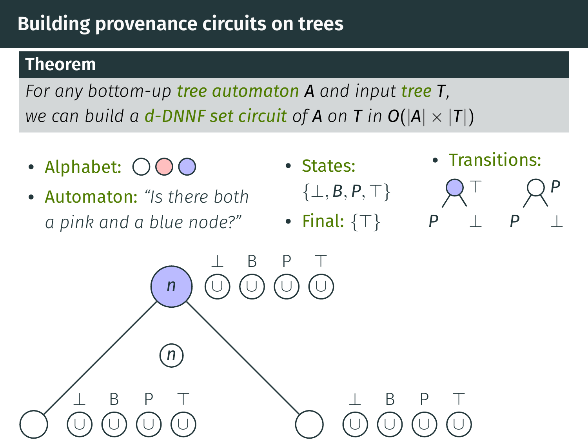#### **Theorem**

- Alphabet:
- Automaton: *"Is there both a pink and a blue node?"*
- States:
	- $\{\perp, B, P, \perp\}$
- Final:  $\{\top\}$
- Transitions:
- $\top$ *P* ⊥ *P P* ⊥

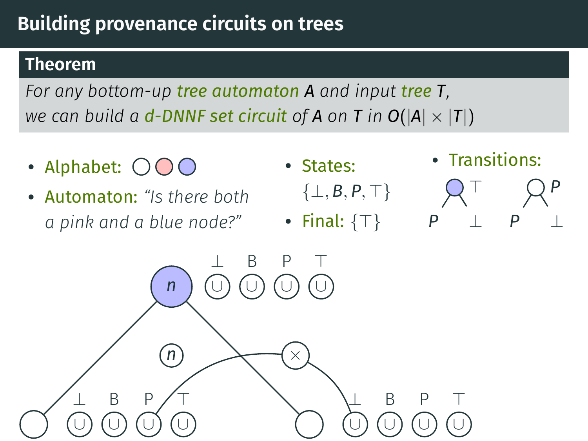#### **Theorem**

- Alphabet:
- Automaton: *"Is there both a pink and a blue node?"*
- States:
	- $\{\perp, B, P, \perp\}$
- Final:  $\{\top\}$
- Transitions:
- $\top$ *P* ⊥ *P P* ⊥

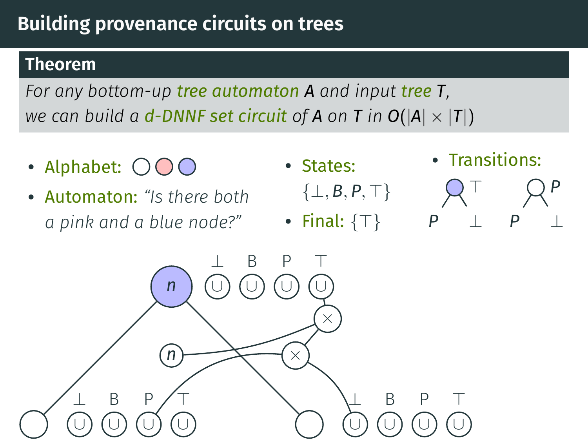#### **Theorem**

- Alphabet:
- Automaton: *"Is there both a pink and a blue node?"*
- States:
	- $\{\perp, B, P, \perp\}$
- Final:  $\{\top\}$
- Transitions:
- $\top$ *P* ⊥ *P P* ⊥

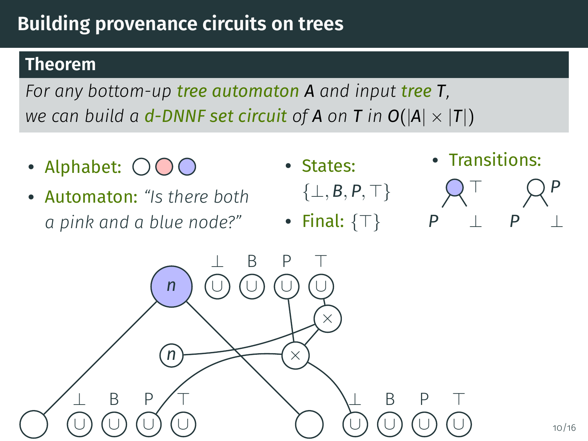#### **Theorem**

- Alphabet:
- Automaton: *"Is there both a pink and a blue node?"*
- States:
	- $\{\perp, B, P, \perp\}$
- Final:  $\{\top\}$
- Transitions:
- $\top$ *P* ⊥ *P P* ⊥

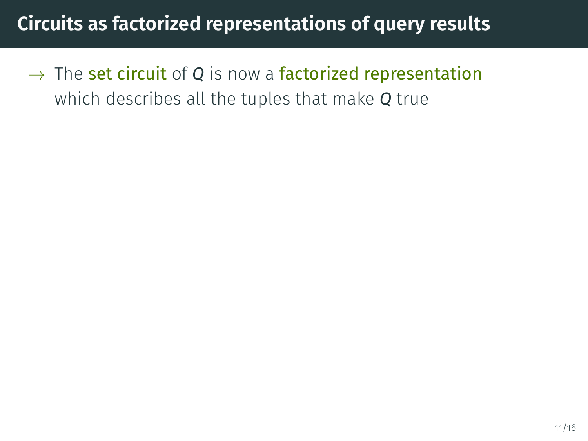$\rightarrow$  The set circuit of Q is now a factorized representation which describes all the tuples that make *Q* true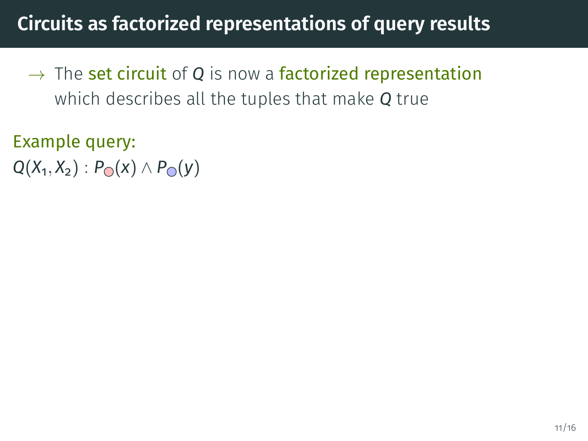- $\rightarrow$  The set circuit of Q is now a factorized representation which describes all the tuples that make *Q* true
- Example query: *Q*(*X*<sub>1</sub>, *X*<sub>2</sub>) : *P***∩**(*x*) ∧ *P***∩**(*y*)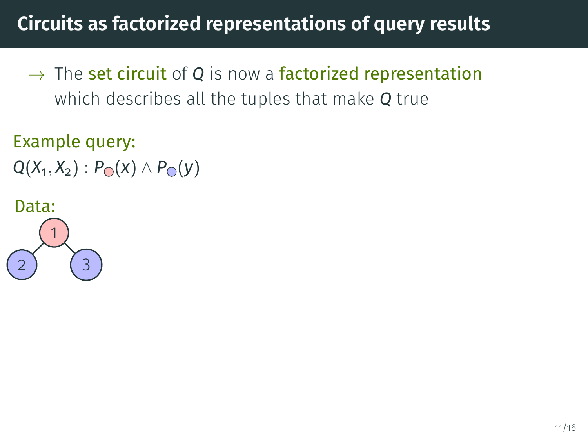- $\rightarrow$  The set circuit of Q is now a factorized representation which describes all the tuples that make *Q* true
- Example query: *Q*(*X*<sub>1</sub>, *X*<sub>2</sub>) : *P***○**(*x*) ∧ *P***○**(*y*)

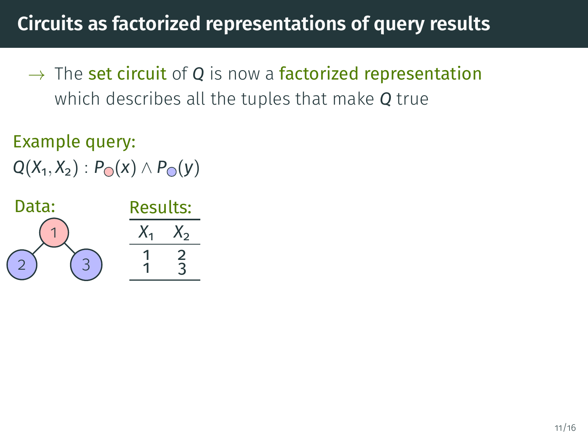$\rightarrow$  The set circuit of Q is now a factorized representation which describes all the tuples that make *Q* true

Example query: *Q*(*X*<sub>1</sub>, *X*<sub>2</sub>) : *P***∩**(*x*) ∧ *P***∩**(*y*)

| Data: | <b>Results:</b> |             |
|-------|-----------------|-------------|
|       |                 | $\Lambda$ 2 |
|       |                 | 2           |
|       |                 |             |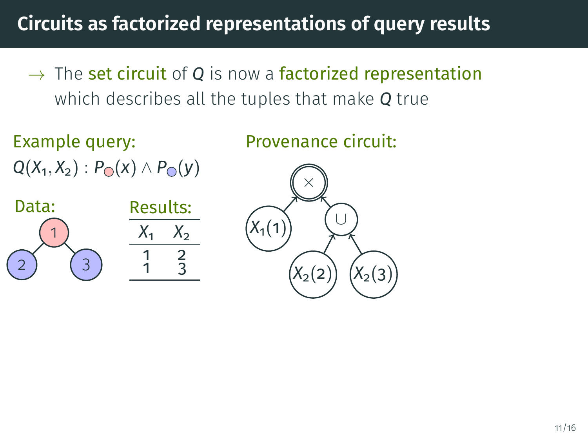- $\rightarrow$  The set circuit of Q is now a factorized representation which describes all the tuples that make *Q* true
- Example query: *Q*(*X*<sub>1</sub>, *X*<sub>2</sub>) : *P***∩**(*x*) ∧ *P***∩**(*y*)

Provenance circuit:



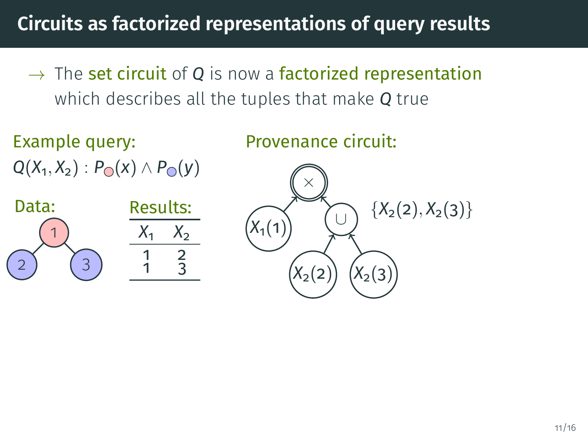$\rightarrow$  The set circuit of Q is now a factorized representation which describes all the tuples that make *Q* true

Example query: *Q*(*X*<sub>1</sub>, *X*<sub>2</sub>) : *P***○**(*x*) ∧ *P***○**(*y*) Data: Results:

1 2) (3



Provenance circuit:

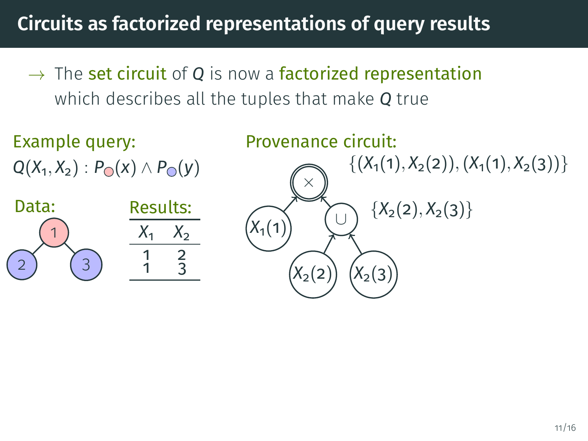$\rightarrow$  The set circuit of Q is now a factorized representation which describes all the tuples that make *Q* true

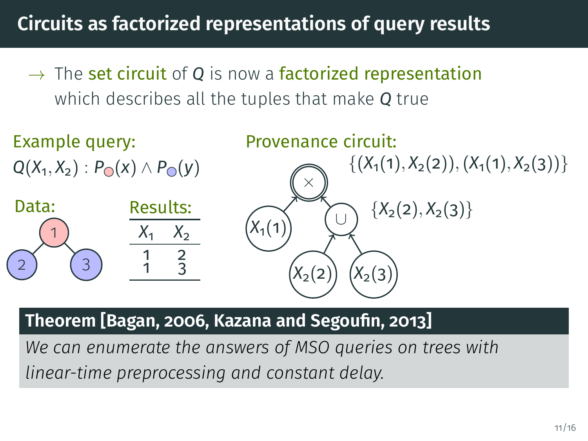$\rightarrow$  The set circuit of Q is now a factorized representation which describes all the tuples that make *Q* true



#### **Theorem [\[Bagan, 2006,](#page-86-0) Kazana and Segoufin, 2013]**

*We can enumerate the answers of MSO queries on trees with linear-time preprocessing and constant delay.*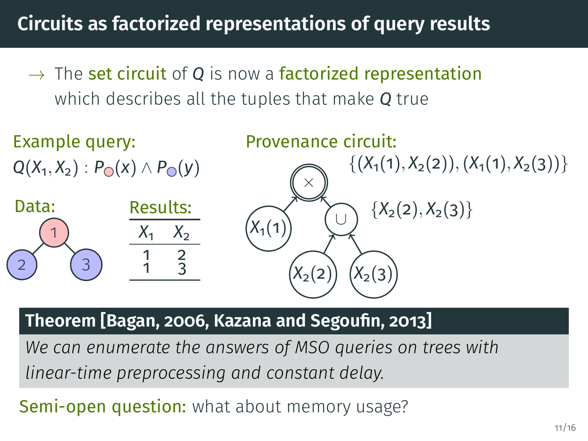$\rightarrow$  The set circuit of Q is now a factorized representation which describes all the tuples that make *Q* true



#### **Theorem [\[Bagan, 2006,](#page-86-0) Kazana and Segoufin, 2013]**

*We can enumerate the answers of MSO queries on trees with linear-time preprocessing and constant delay.*

Semi-open question: what about memory usage?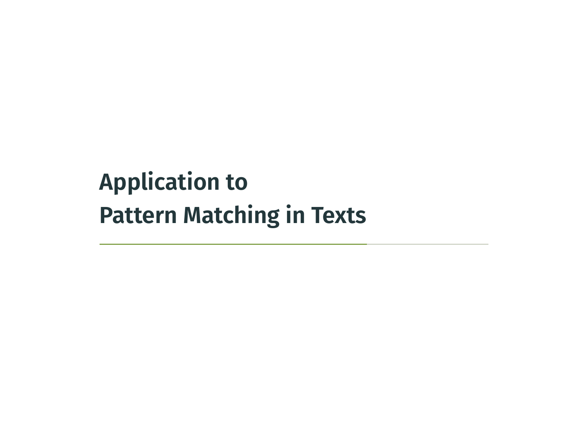# <span id="page-64-0"></span>**[Application to](#page-64-0) [Pattern Matching in Texts](#page-64-0)**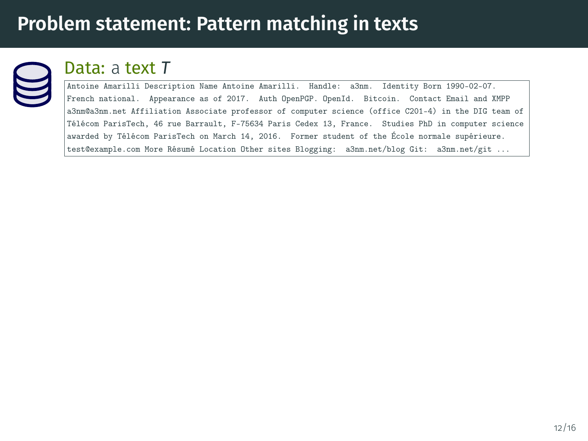

#### Data: a text *T*

Antoine Amarilli Description Name Antoine Amarilli. Handle: a3nm. Identity Born 1990-02-07. French national. Appearance as of 2017. Auth OpenPGP. OpenId. Bitcoin. Contact Email and XMPP a3nm@a3nm.net Affiliation Associate professor of computer science (office C201-4) in the DIG team of Télécom ParisTech, 46 rue Barrault, F-75634 Paris Cedex 13, France. Studies PhD in computer science awarded by Télécom ParisTech on March 14, 2016. Former student of the École normale supérieure. test@example.com More Résumé Location Other sites Blogging: a3nm.net/blog Git: a3nm.net/git ...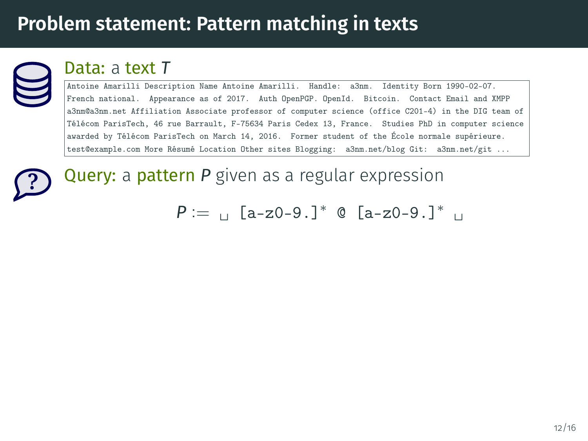

#### Data: a text *T*

Antoine Amarilli Description Name Antoine Amarilli. Handle: a3nm. Identity Born 1990-02-07. French national. Appearance as of 2017. Auth OpenPGP. OpenId. Bitcoin. Contact Email and XMPP a3nm@a3nm.net Affiliation Associate professor of computer science (office C201-4) in the DIG team of Télécom ParisTech, 46 rue Barrault, F-75634 Paris Cedex 13, France. Studies PhD in computer science awarded by Télécom ParisTech on March 14, 2016. Former student of the École normale supérieure. test@example.com More Résumé Location Other sites Blogging: a3nm.net/blog Git: a3nm.net/git ...

**?**

Query: a pattern *P* given as a regular expression

 $P := \text{a} - z0 - 9.1^*$  @  $[a - z0 - 9.1^*]$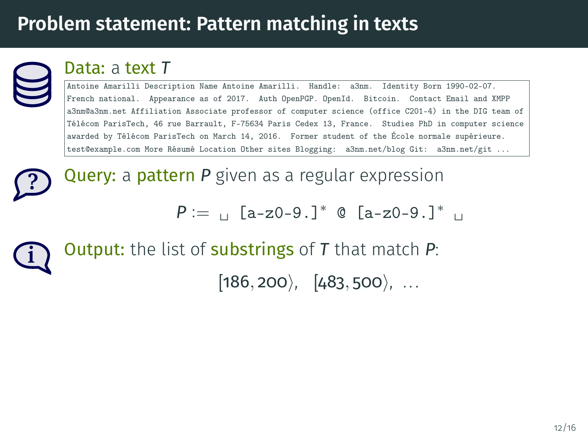

**?**

#### Data: a text *T*

Antoine Amarilli Description Name Antoine Amarilli. Handle: a3nm. Identity Born 1990-02-07. French national. Appearance as of 2017. Auth OpenPGP. OpenId. Bitcoin. Contact Email and XMPP a3nm@a3nm.net Affiliation Associate professor of computer science (office C201-4) in the DIG team of Télécom ParisTech, 46 rue Barrault, F-75634 Paris Cedex 13, France. Studies PhD in computer science awarded by Télécom ParisTech on March 14, 2016. Former student of the École normale supérieure. test@example.com More Résumé Location Other sites Blogging: a3nm.net/blog Git: a3nm.net/git ...

Query: a pattern *P* given as a regular expression

 $P := \text{a} \left[ a - z^0 - 9 \right]$  **C**  $\left[ a - z^0 - 9 \right]$   $\left[ a - z^0 - 9 \right]$ 

**i** Output: the list of substrings of *T* that match *P*:

 $[186, 200, 483, 500, \ldots]$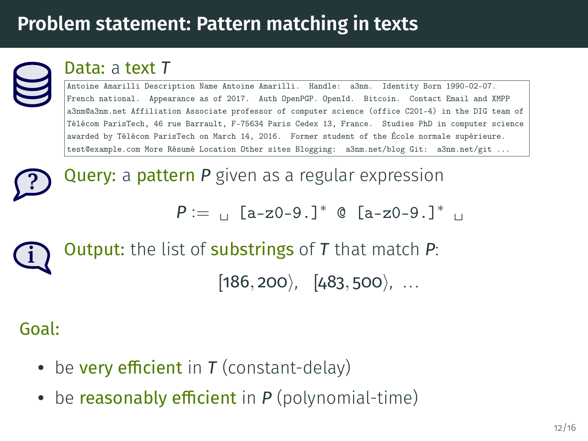

**?**

#### Data: a text *T*

Antoine Amarilli Description Name Antoine Amarilli. Handle: a3nm. Identity Born 1990-02-07. French national. Appearance as of 2017. Auth OpenPGP. OpenId. Bitcoin. Contact Email and XMPP a3nm@a3nm.net Affiliation Associate professor of computer science (office C201-4) in the DIG team of Télécom ParisTech, 46 rue Barrault, F-75634 Paris Cedex 13, France. Studies PhD in computer science awarded by Télécom ParisTech on March 14, 2016. Former student of the École normale supérieure. test@example.com More Résumé Location Other sites Blogging: a3nm.net/blog Git: a3nm.net/git ...

Query: a pattern *P* given as a regular expression

 $P := \text{a} \left[ a - z^0 - 9 \right]$  **C**  $\left[ a - z^0 - 9 \right]$   $\left[ a - z^0 - 9 \right]$ 

**i** Output: the list of substrings of *T* that match *P*:  $[186, 200), [483, 500), ...$ 

#### Goal:

- be **very efficient** in  $T$  (constant-delay)
- be **reasonably efficient** in  $P$  (polynomial-time)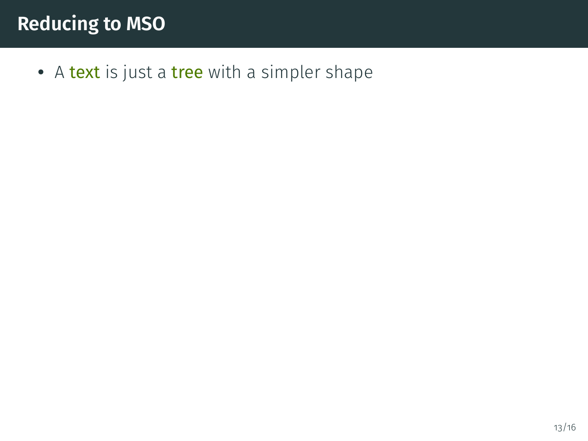### **Reducing to MSO**

• A text is just a tree with a simpler shape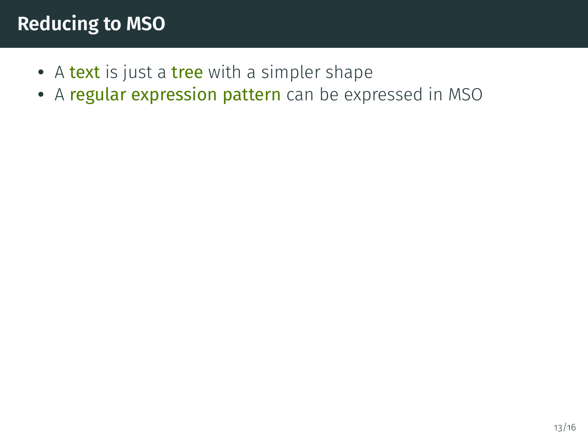### **Reducing to MSO**

- A text is just a tree with a simpler shape
- A regular expression pattern can be expressed in MSO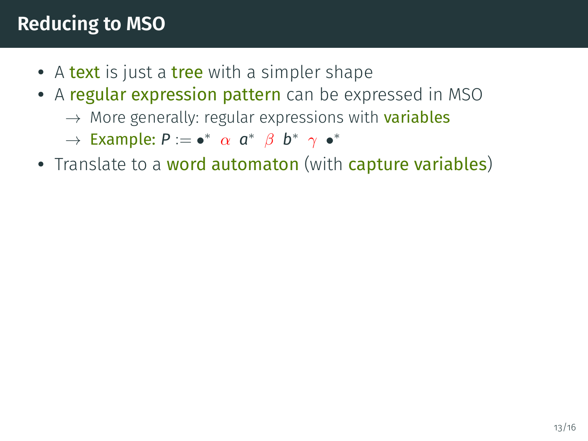### **Reducing to MSO**

- A text is just a tree with a simpler shape
- A regular expression pattern can be expressed in MSO
	- $\rightarrow$  More generally: regular expressions with **variables**

 $\rightarrow$  Example:  $P := \bullet^* \ \alpha \ a^* \ \beta \ b^* \ \gamma \ \bullet^*$ 

• Translate to a word automaton (with capture variables)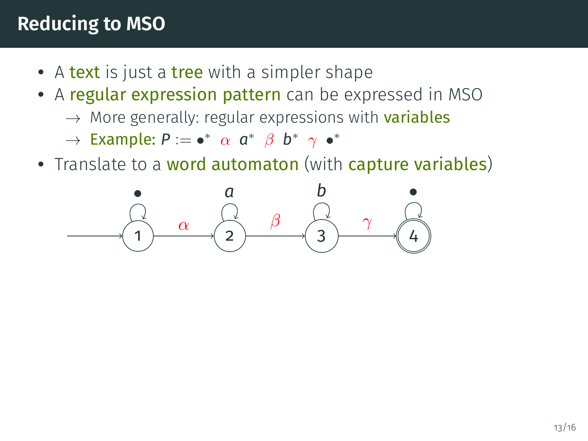#### **Reducing to MSO**

- A text is just a tree with a simpler shape
- A regular expression pattern can be expressed in MSO
	- $\rightarrow$  More generally: regular expressions with **variables**
	- $\rightarrow$  Example:  $P := \bullet^* \ \alpha \ a^* \ \beta \ b^* \ \gamma \ \bullet^*$
- Translate to a word automaton (with capture variables)

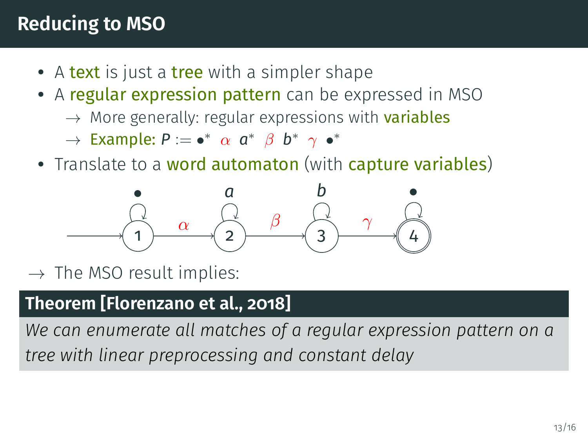## **Reducing to MSO**

- A text is just a tree with a simpler shape
- A regular expression pattern can be expressed in MSO
	- $\rightarrow$  More generally: regular expressions with **variables**
	- $\rightarrow$  Example:  $P := \bullet^* \ \alpha \ a^* \ \beta \ b^* \ \gamma \ \bullet^*$
- Translate to a word automaton (with capture variables)



 $\rightarrow$  The MSO result implies:

#### **Theorem [\[Florenzano et al., 2018\]](#page-87-0)**

*We can enumerate all matches of a regular expression pattern on a tree with linear preprocessing and constant delay*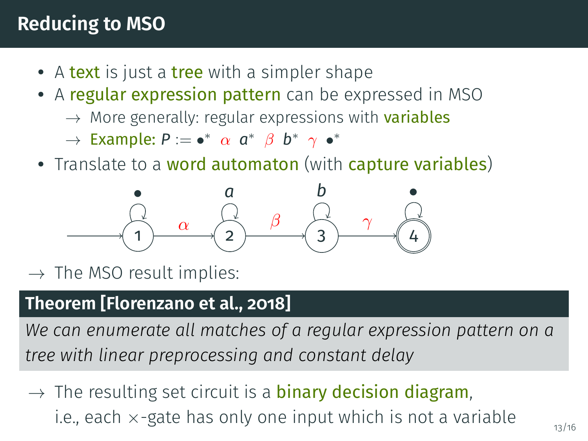#### **Reducing to MSO**

- A text is just a tree with a simpler shape
- A regular expression pattern can be expressed in MSO
	- $\rightarrow$  More generally: regular expressions with **variables**
	- $\rightarrow$  Example:  $P := \bullet^* \ \alpha \ a^* \ \beta \ b^* \ \gamma \ \bullet^*$
- Translate to a word automaton (with capture variables)



 $\rightarrow$  The MSO result implies:

#### **Theorem [\[Florenzano et al., 2018\]](#page-87-0)**

*We can enumerate all matches of a regular expression pattern on a tree with linear preprocessing and constant delay*

 $\rightarrow$  The resulting set circuit is a **binary decision diagram**, i.e., each  $\times$ -gate has only one input which is not a variable  $\frac{1}{13/16}$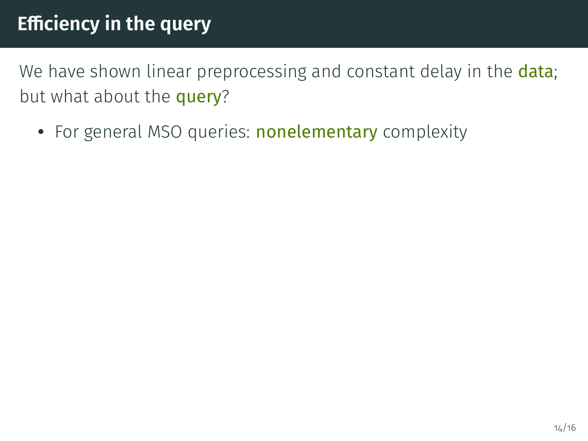We have shown linear preprocessing and constant delay in the data; but what about the **query**?

• For general MSO queries: **nonelementary** complexity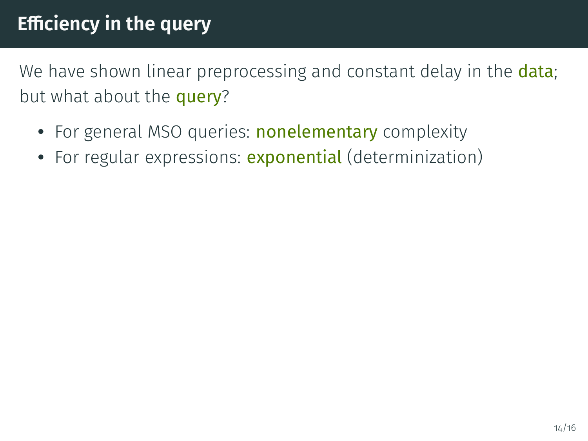We have shown linear preprocessing and constant delay in the **data**; but what about the **query**?

- For general MSO queries: **nonelementary** complexity
- For regular expressions: exponential (determinization)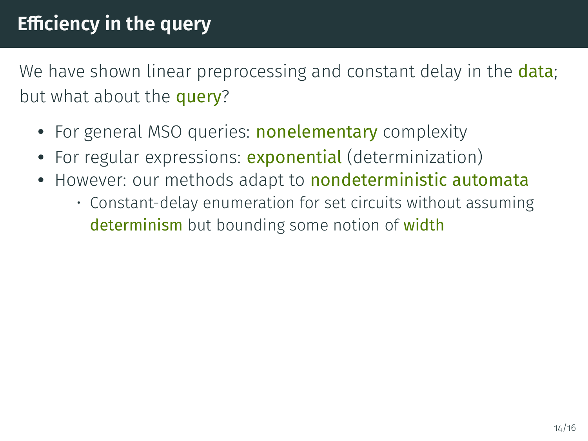We have shown linear preprocessing and constant delay in the **data**; but what about the **query**?

- For general MSO queries: **nonelementary** complexity
- For regular expressions: exponential (determinization)
- However: our methods adapt to **nondeterministic automata** 
	- Constant-delay enumeration for set circuits without assuming determinism but bounding some notion of width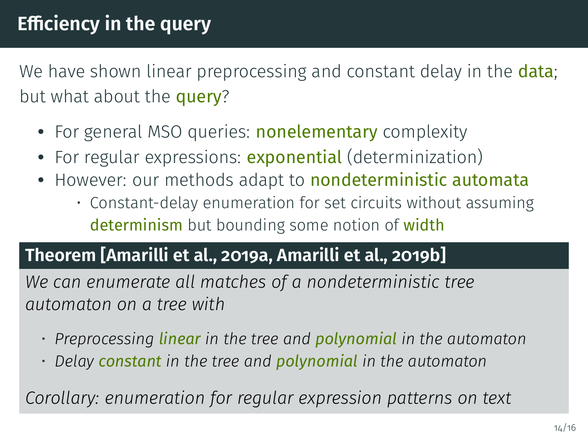We have shown linear preprocessing and constant delay in the **data**; but what about the **query**?

- For general MSO queries: **nonelementary** complexity
- For regular expressions: exponential (determinization)
- However: our methods adapt to **nondeterministic automata** 
	- Constant-delay enumeration for set circuits without assuming determinism but bounding some notion of width

#### **Theorem [\[Amarilli et al., 2019a,](#page-86-0) [Amarilli et al., 2019b\]](#page-86-1)**

*We can enumerate all matches of a nondeterministic tree automaton on a tree with*

- *Preprocessing linear in the tree and polynomial in the automaton*
- *Delay constant in the tree and polynomial in the automaton*

*Corollary: enumeration for regular expression patterns on text*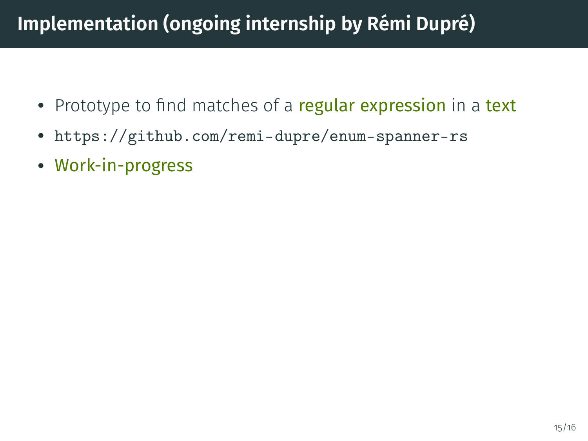# **Implementation (ongoing internship by Rémi Dupré)**

- Prototype to find matches of a regular expression in a text
- <https://github.com/remi-dupre/enum-spanner-rs>
- Work-in-progress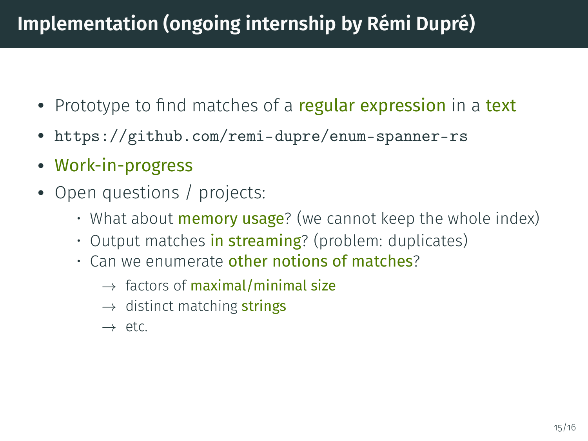# **Implementation (ongoing internship by Rémi Dupré)**

- Prototype to find matches of a regular expression in a text
- <https://github.com/remi-dupre/enum-spanner-rs>
- Work-in-progress
- Open questions / projects:
	- What about **memory usage**? (we cannot keep the whole index)
	- Output matches in streaming? (problem: duplicates)
	- $\cdot$  Can we enumerate other notions of matches?
		- $\rightarrow$  factors of maximal/minimal size
		- $\rightarrow$  distinct matching strings
		- $\rightarrow$  etc.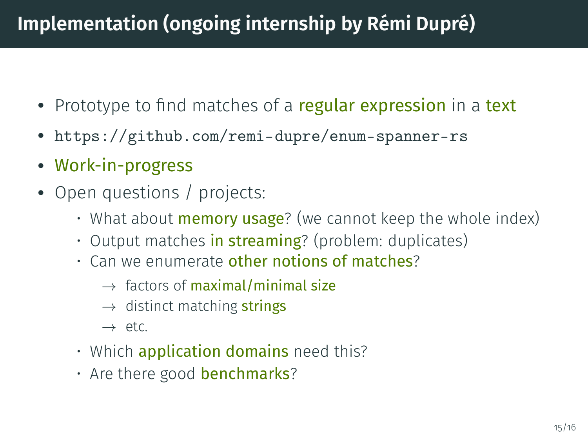# **Implementation (ongoing internship by Rémi Dupré)**

- Prototype to find matches of a regular expression in a text
- <https://github.com/remi-dupre/enum-spanner-rs>
- Work-in-progress
- Open questions / projects:
	- What about **memory usage**? (we cannot keep the whole index)
	- Output matches in streaming? (problem: duplicates)
	- Can we enumerate other notions of matches?
		- $\rightarrow$  factors of maximal/minimal size
		- $\rightarrow$  distinct matching strings
		- $\rightarrow$  etc.
	- Which **application domains** need this?
	- Are there good **benchmarks**?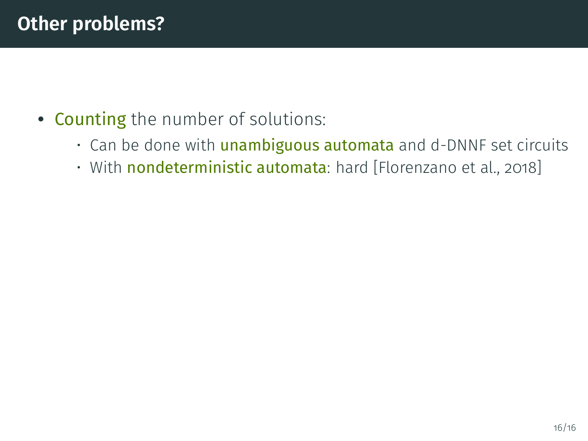- Counting the number of solutions:
	- $\cdot$  Can be done with **unambiguous automata** and d-DNNF set circuits
	- With nondeterministic automata: hard [\[Florenzano et al., 2018\]](#page-87-0)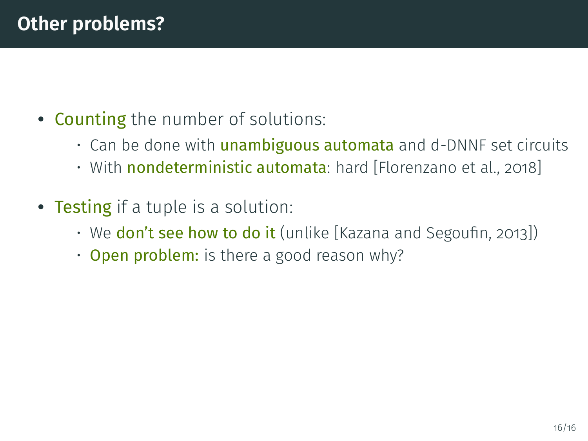- Counting the number of solutions:
	- $\cdot$  Can be done with **unambiguous automata** and d-DNNF set circuits
	- With nondeterministic automata: hard [\[Florenzano et al., 2018\]](#page-87-0)
- Testing if a tuple is a solution:
	- We **don't see how to do it** (unlike [Kazana and Segoufin, 2013])
	- Open problem: is there a good reason why?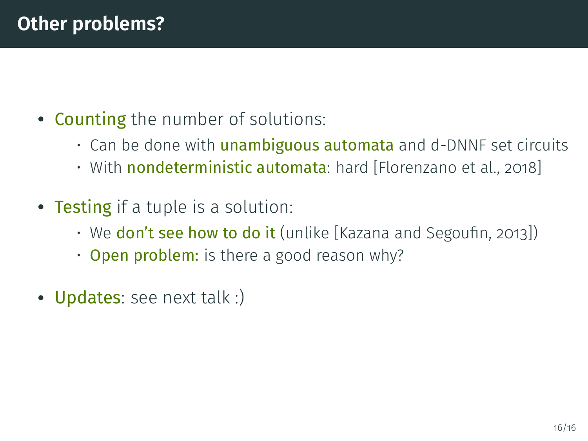- Counting the number of solutions:
	- $\cdot$  Can be done with **unambiguous automata** and d-DNNF set circuits
	- With nondeterministic automata: hard [\[Florenzano et al., 2018\]](#page-87-0)
- Testing if a tuple is a solution:
	- We **don't see how to do it** (unlike [Kazana and Segoufin, 2013])
	- Open problem: is there a good reason why?
- Updates: see next talk :)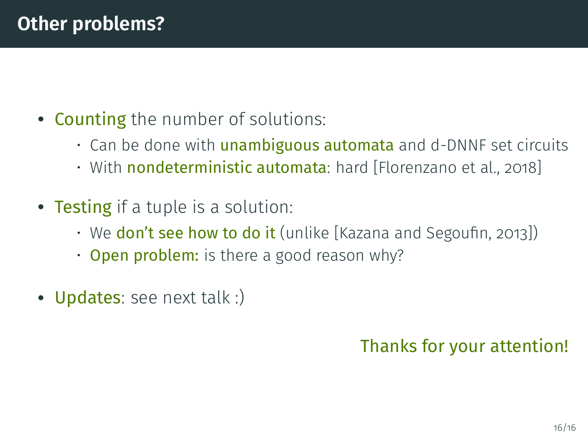- Counting the number of solutions:
	- $\cdot$  Can be done with **unambiguous automata** and d-DNNF set circuits
	- With nondeterministic automata: hard [\[Florenzano et al., 2018\]](#page-87-0)
- Testing if a tuple is a solution:
	- We **don't see how to do it** (unlike [Kazana and Segoufin, 2013])
	- Open problem: is there a good reason why?
- Updates: see next talk :)

#### Thanks for your attention!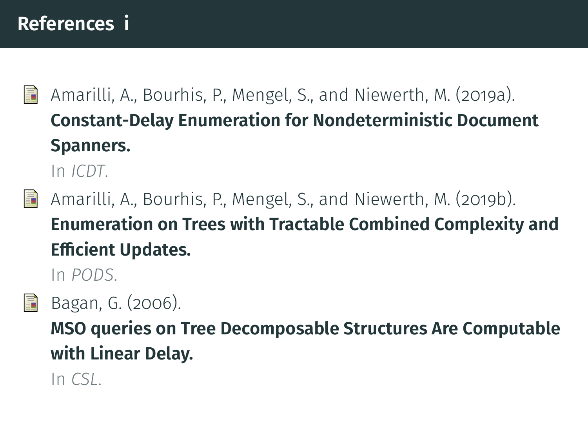#### **References i**

<span id="page-86-0"></span>畐

Amarilli, A., Bourhis, P., Mengel, S., and Niewerth, M. (2019a). **[Constant-Delay Enumeration for Nondeterministic Document](https://arxiv.org/abs/1807.09320) [Spanners.](https://arxiv.org/abs/1807.09320)**

In *[ICDT](http://edbticdt2019.inesc-id.pt/)*.

<span id="page-86-1"></span>Amarilli, A., Bourhis, P., Mengel, S., and Niewerth, M. (2019b). 量 **[Enumeration on Trees with Tractable Combined Complexity and](https://arxiv.org/abs/1812.09519) Efficient Updates.** 

In *[PODS](https://sigmod2019.org/)*.



Bagan, G. (2006).

**MSO queries on Tree Decomposable Structures Are Computable with Linear Delay.**

In *CSL*.